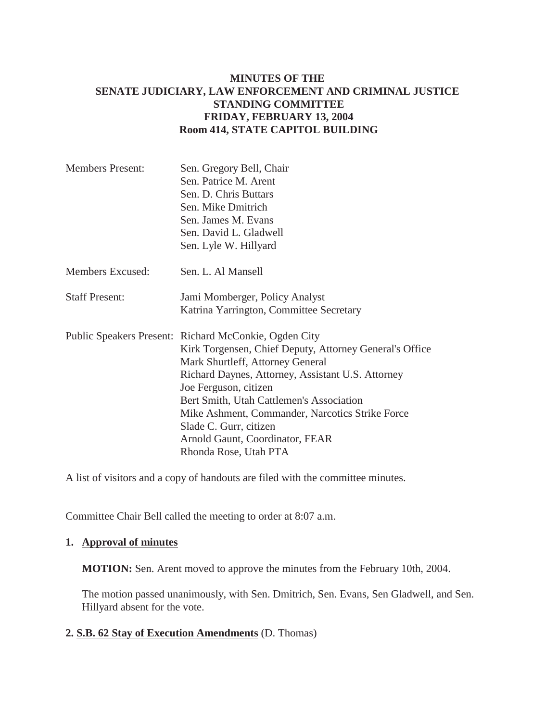# **MINUTES OF THE SENATE JUDICIARY, LAW ENFORCEMENT AND CRIMINAL JUSTICE STANDING COMMITTEE FRIDAY, FEBRUARY 13, 2004 Room 414, STATE CAPITOL BUILDING**

| <b>Members Present:</b> | Sen. Gregory Bell, Chair                                |
|-------------------------|---------------------------------------------------------|
|                         | Sen. Patrice M. Arent                                   |
|                         | Sen. D. Chris Buttars                                   |
|                         | Sen. Mike Dmitrich                                      |
|                         | Sen. James M. Evans                                     |
|                         | Sen. David L. Gladwell                                  |
|                         | Sen. Lyle W. Hillyard                                   |
| Members Excused:        | Sen. L. Al Mansell                                      |
| <b>Staff Present:</b>   | Jami Momberger, Policy Analyst                          |
|                         | Katrina Yarrington, Committee Secretary                 |
|                         | Public Speakers Present: Richard McConkie, Ogden City   |
|                         | Kirk Torgensen, Chief Deputy, Attorney General's Office |
|                         | Mark Shurtleff, Attorney General                        |
|                         | Richard Daynes, Attorney, Assistant U.S. Attorney       |
|                         | Joe Ferguson, citizen                                   |
|                         | Bert Smith, Utah Cattlemen's Association                |
|                         | Mike Ashment, Commander, Narcotics Strike Force         |
|                         | Slade C. Gurr, citizen                                  |
|                         | Arnold Gaunt, Coordinator, FEAR                         |
|                         | Rhonda Rose, Utah PTA                                   |

A list of visitors and a copy of handouts are filed with the committee minutes.

Committee Chair Bell called the meeting to order at 8:07 a.m.

### **1. Approval of minutes**

**MOTION:** Sen. Arent moved to approve the minutes from the February 10th, 2004.

The motion passed unanimously, with Sen. Dmitrich, Sen. Evans, Sen Gladwell, and Sen. Hillyard absent for the vote.

#### **2. S.B. 62 Stay of Execution Amendments** (D. Thomas)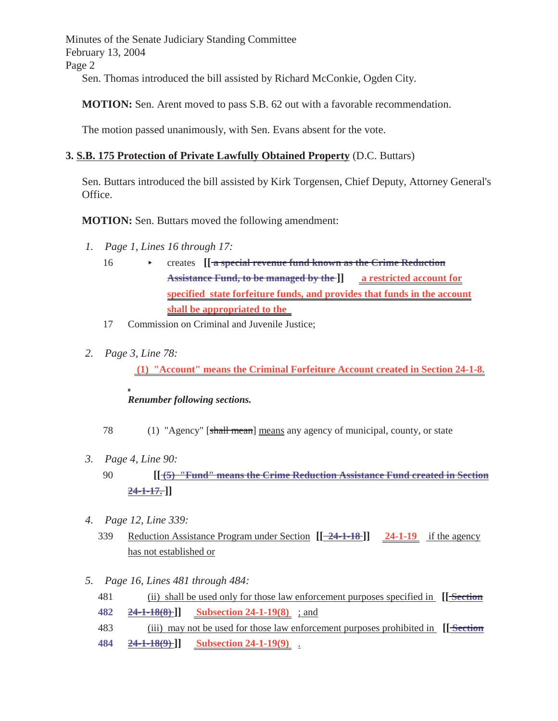Minutes of the Senate Judiciary Standing Committee February 13, 2004 Page 2

Sen. Thomas introduced the bill assisted by Richard McConkie, Ogden City.

**MOTION:** Sen. Arent moved to pass S.B. 62 out with a favorable recommendation.

The motion passed unanimously, with Sen. Evans absent for the vote.

## **3. S.B. 175 Protection of Private Lawfully Obtained Property** (D.C. Buttars)

Sen. Buttars introduced the bill assisted by Kirk Torgensen, Chief Deputy, Attorney General's Office.

**MOTION:** Sen. Buttars moved the following amendment:

- *1. Page 1, Lines 16 through 17:*
	- 16 **Exercise Figure 2.1** Creates **in Exercise 16** Crime Reduction **Assistance Fund, to be managed by the ]] a restricted account for specified state forfeiture funds, and provides that funds in the account shall be appropriated to the**
	- 17 Commission on Criminal and Juvenile Justice;
- *2. Page 3, Line 78:*

 **(1) "Account" means the Criminal Forfeiture Account created in Section 24-1-8.**

#### *Renumber following sections.*

78 (1) "Agency" [shall mean] means any agency of municipal, county, or state

- *3. Page 4, Line 90:*
	- 90 **[[ (5) "Fund" means the Crime Reduction Assistance Fund created in Section 24-1-17. ]]**
- *4. Page 12, Line 339:*
	- 339 Reduction Assistance Program under Section **[[ 24-1-18 ]] 24-1-19** if the agency has not established or
- *5. Page 16, Lines 481 through 484:*
	- 481 (ii) shall be used only for those law enforcement purposes specified in **[[ Section**
	- **482 24-1-18(8) ]] Subsection 24-1-19(8)** ; and
	- 483 (iii) may not be used for those law enforcement purposes prohibited in **[[ Section**
	- **484 24-1-18(9) ]] Subsection 24-1-19(9)** .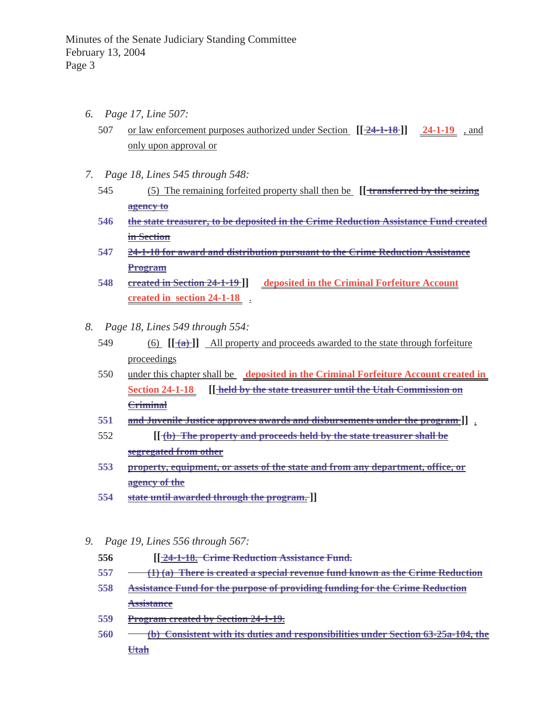- *6. Page 17, Line 507:*
	- 507 or law enforcement purposes authorized under Section **[[ 24-1-18 ]] 24-1-19** , and only upon approval or
- *7. Page 18, Lines 545 through 548:*
	- 545 (5) The remaining forfeited property shall then be **[[ transferred by the seizing agency to**
	- **546 the state treasurer, to be deposited in the Crime Reduction Assistance Fund created in Section**
	- **547 24-1-18 for award and distribution pursuant to the Crime Reduction Assistance Program**
	- **548 created in Section 24-1-19 ]] deposited in the Criminal Forfeiture Account created in section 24-1-18** .
- *8. Page 18, Lines 549 through 554:*
	- 549 (6)  $[[\frac{1}{(a)}]]$  All property and proceeds awarded to the state through forfeiture proceedings
	- 550 under this chapter shall be **deposited in the Criminal Forfeiture Account created in Section 24-1-18 [[ held by the state treasurer until the Utah Commission on Criminal**
	- **551 and Juvenile Justice approves awards and disbursements under the program ]]** .
	- 552 **[[ (b) The property and proceeds held by the state treasurer shall be segregated from other**
	- **553 property, equipment, or assets of the state and from any department, office, or agency of the**
	- **554 state until awarded through the program. ]]**
- *9. Page 19, Lines 556 through 567:*
	- **556 [[ 24-1-18. Crime Reduction Assistance Fund.**
	- **557 (1) (a) There is created a special revenue fund known as the Crime Reduction**
	- **558 Assistance Fund for the purpose of providing funding for the Crime Reduction Assistance**
	- **559 Program created by Section 24-1-19.**
	- **560 (b) Consistent with its duties and responsibilities under Section 63-25a-104, the Utah**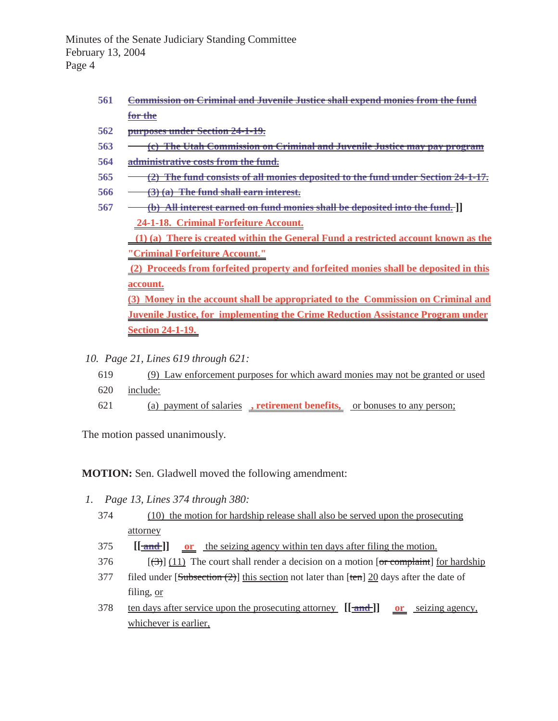Minutes of the Senate Judiciary Standing Committee February 13, 2004 Page 4

- **561 Commission on Criminal and Juvenile Justice shall expend monies from the fund for the**
- **562 purposes under Section 24-1-19.**
- **563 (c) The Utah Commission on Criminal and Juvenile Justice may pay program**
- **564 administrative costs from the fund.**
- **565 (2) The fund consists of all monies deposited to the fund under Section 24-1-17.**
- **566 (3) (a) The fund shall earn interest.**
- **567 (b) All interest earned on fund monies shall be deposited into the fund. ]] 24-1-18. Criminal Forfeiture Account.**

 **(1) (a) There is created within the General Fund a restricted account known as the "Criminal Forfeiture Account."**

 **(2) Proceeds from forfeited property and forfeited monies shall be deposited in this account.**

**(3) Money in the account shall be appropriated to the Commission on Criminal and Juvenile Justice, for implementing the Crime Reduction Assistance Program under Section 24-1-19.** 

- *10. Page 21, Lines 619 through 621:*
	- 619 (9) Law enforcement purposes for which award monies may not be granted or used
	- 620 include:
	- 621 (a) payment of salaries **, retirement benefits,** or bonuses to any person;

The motion passed unanimously.

**MOTION:** Sen. Gladwell moved the following amendment:

- *1. Page 13, Lines 374 through 380:*
	- 374 (10) the motion for hardship release shall also be served upon the prosecuting attorney
	- 375 **[[ and ]] or** the seizing agency within ten days after filing the motion.
	- 376  $\left[\left(\frac{3}{2}\right)\right]$  (11) The court shall render a decision on a motion [or complaint] for hardship
	- 377 filed under  $[\frac{\text{Subsection} (2)}{\text{this section}}]$  this section not later than  $[\text{ten}]$  20 days after the date of filing, or
	- 378 ten days after service upon the prosecuting attorney **[[ and ]] or** seizing agency, whichever is earlier,